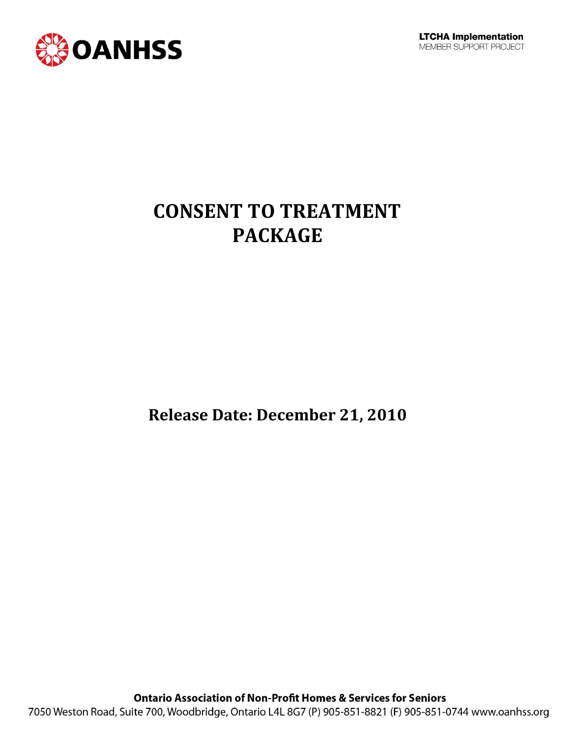

## **CONSENT TO TREATMENT PACKAGE**

**Release Date: December 21, 2010**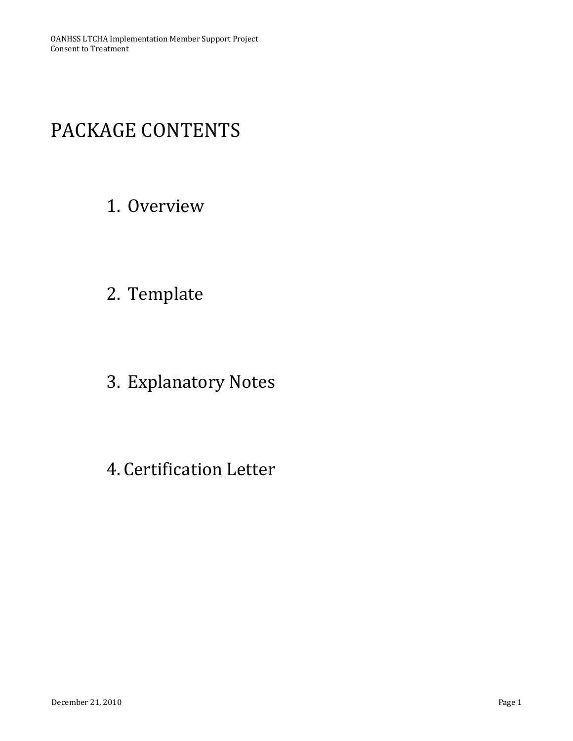## PACKAGE CONTENTS

## 1. Overview

- 2. Template
- 3. Explanatory Notes
- 4. Certification Letter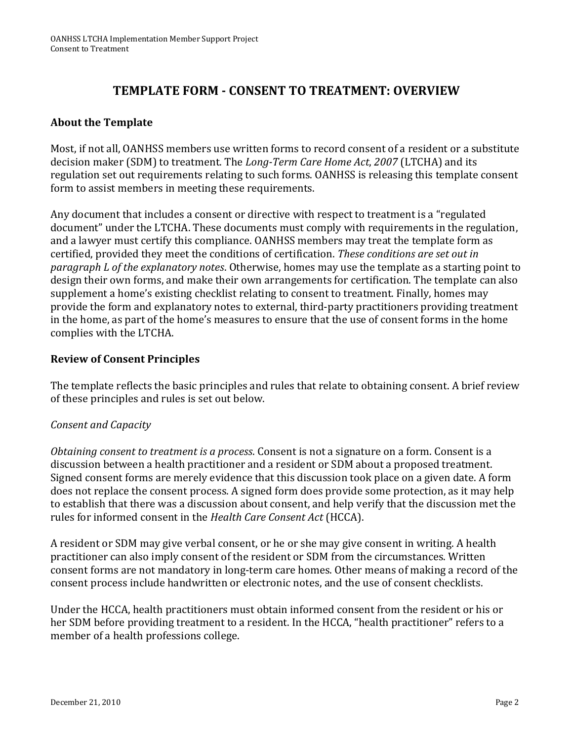## **TEMPLATE FORM - CONSENT TO TREATMENT: OVERVIEW**

### **About the Template**

Most, if not all, OANHSS members use written forms to record consent of a resident or a substitute decision maker (SDM) to treatment. The *Long-Term Care Home Act*, *2007* (LTCHA) and its regulation set out requirements relating to such forms. OANHSS is releasing this template consent form to assist members in meeting these requirements.

Any document that includes a consent or directive with respect to treatment is a "regulated document" under the LTCHA. These documents must comply with requirements in the regulation, and a lawyer must certify this compliance. OANHSS members may treat the template form as certified, provided they meet the conditions of certification. *These conditions are set out in paragraph L of the explanatory notes*. Otherwise, homes may use the template as a starting point to design their own forms, and make their own arrangements for certification. The template can also supplement a home's existing checklist relating to consent to treatment. Finally, homes may provide the form and explanatory notes to external, third-party practitioners providing treatment in the home, as part of the home's measures to ensure that the use of consent forms in the home complies with the LTCHA.

#### **Review of Consent Principles**

The template reflects the basic principles and rules that relate to obtaining consent. A brief review of these principles and rules is set out below.

### *Consent and Capacity*

*Obtaining consent to treatment is a process*. Consent is not a signature on a form. Consent is a discussion between a health practitioner and a resident or SDM about a proposed treatment. Signed consent forms are merely evidence that this discussion took place on a given date. A form does not replace the consent process. A signed form does provide some protection, as it may help to establish that there was a discussion about consent, and help verify that the discussion met the rules for informed consent in the *Health Care Consent Act* (HCCA).

A resident or SDM may give verbal consent, or he or she may give consent in writing. A health practitioner can also imply consent of the resident or SDM from the circumstances. Written consent forms are not mandatory in long-term care homes. Other means of making a record of the consent process include handwritten or electronic notes, and the use of consent checklists.

Under the HCCA, health practitioners must obtain informed consent from the resident or his or her SDM before providing treatment to a resident. In the HCCA, "health practitioner" refers to a member of a health professions college.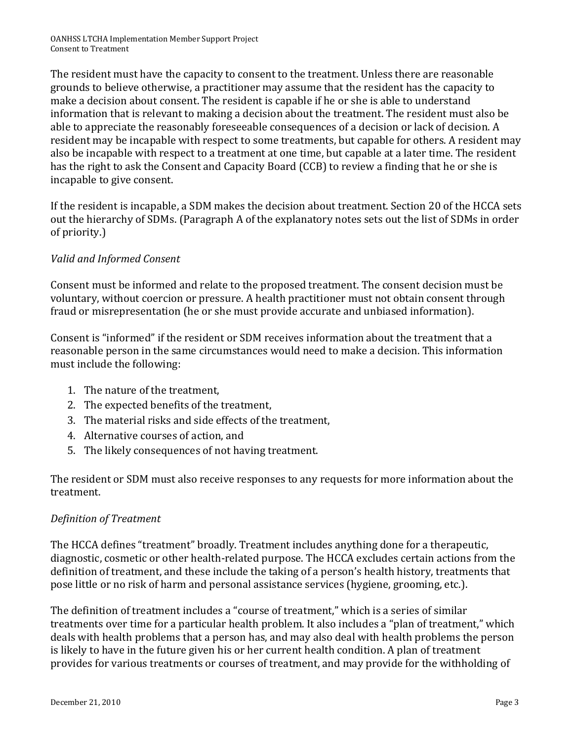The resident must have the capacity to consent to the treatment. Unless there are reasonable grounds to believe otherwise, a practitioner may assume that the resident has the capacity to make a decision about consent. The resident is capable if he or she is able to understand information that is relevant to making a decision about the treatment. The resident must also be able to appreciate the reasonably foreseeable consequences of a decision or lack of decision. A resident may be incapable with respect to some treatments, but capable for others. A resident may also be incapable with respect to a treatment at one time, but capable at a later time. The resident has the right to ask the Consent and Capacity Board (CCB) to review a finding that he or she is incapable to give consent.

If the resident is incapable, a SDM makes the decision about treatment. Section 20 of the HCCA sets out the hierarchy of SDMs. (Paragraph A of the explanatory notes sets out the list of SDMs in order of priority.)

### *Valid and Informed Consent*

Consent must be informed and relate to the proposed treatment. The consent decision must be voluntary, without coercion or pressure. A health practitioner must not obtain consent through fraud or misrepresentation (he or she must provide accurate and unbiased information).

Consent is "informed" if the resident or SDM receives information about the treatment that a reasonable person in the same circumstances would need to make a decision. This information must include the following:

- 1. The nature of the treatment,
- 2. The expected benefits of the treatment,
- 3. The material risks and side effects of the treatment,
- 4. Alternative courses of action, and
- 5. The likely consequences of not having treatment.

The resident or SDM must also receive responses to any requests for more information about the treatment.

### *Definition of Treatment*

The HCCA defines "treatment" broadly. Treatment includes anything done for a therapeutic, diagnostic, cosmetic or other health-related purpose. The HCCA excludes certain actions from the definition of treatment, and these include the taking of a person's health history, treatments that pose little or no risk of harm and personal assistance services (hygiene, grooming, etc.).

The definition of treatment includes a "course of treatment," which is a series of similar treatments over time for a particular health problem. It also includes a "plan of treatment," which deals with health problems that a person has, and may also deal with health problems the person is likely to have in the future given his or her current health condition. A plan of treatment provides for various treatments or courses of treatment, and may provide for the withholding of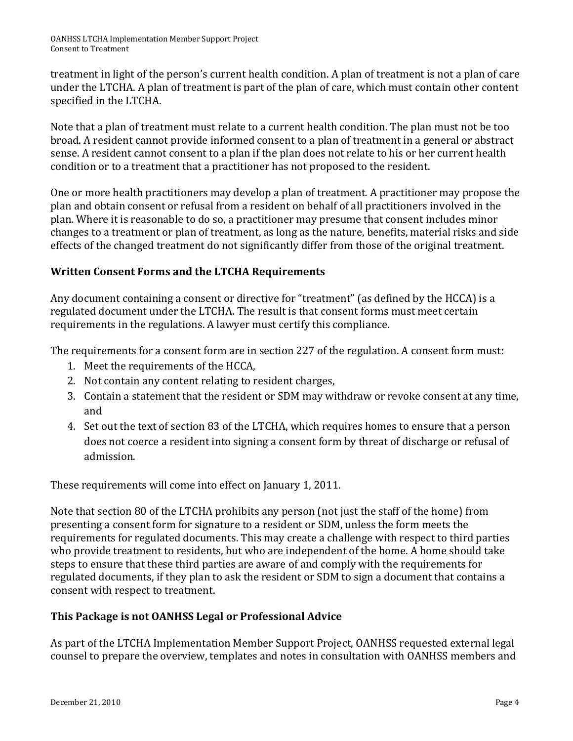treatment in light of the person's current health condition. A plan of treatment is not a plan of care under the LTCHA. A plan of treatment is part of the plan of care, which must contain other content specified in the LTCHA.

Note that a plan of treatment must relate to a current health condition. The plan must not be too broad. A resident cannot provide informed consent to a plan of treatment in a general or abstract sense. A resident cannot consent to a plan if the plan does not relate to his or her current health condition or to a treatment that a practitioner has not proposed to the resident.

One or more health practitioners may develop a plan of treatment. A practitioner may propose the plan and obtain consent or refusal from a resident on behalf of all practitioners involved in the plan. Where it is reasonable to do so, a practitioner may presume that consent includes minor changes to a treatment or plan of treatment, as long as the nature, benefits, material risks and side effects of the changed treatment do not significantly differ from those of the original treatment.

### **Written Consent Forms and the LTCHA Requirements**

Any document containing a consent or directive for "treatment" (as defined by the HCCA) is a regulated document under the LTCHA. The result is that consent forms must meet certain requirements in the regulations. A lawyer must certify this compliance.

The requirements for a consent form are in section 227 of the regulation. A consent form must:

- 1. Meet the requirements of the HCCA,
- 2. Not contain any content relating to resident charges,
- 3. Contain a statement that the resident or SDM may withdraw or revoke consent at any time, and
- 4. Set out the text of section 83 of the LTCHA, which requires homes to ensure that a person does not coerce a resident into signing a consent form by threat of discharge or refusal of admission.

These requirements will come into effect on January 1, 2011.

Note that section 80 of the LTCHA prohibits any person (not just the staff of the home) from presenting a consent form for signature to a resident or SDM, unless the form meets the requirements for regulated documents. This may create a challenge with respect to third parties who provide treatment to residents, but who are independent of the home. A home should take steps to ensure that these third parties are aware of and comply with the requirements for regulated documents, if they plan to ask the resident or SDM to sign a document that contains a consent with respect to treatment.

### **This Package is not OANHSS Legal or Professional Advice**

As part of the LTCHA Implementation Member Support Project, OANHSS requested external legal counsel to prepare the overview, templates and notes in consultation with OANHSS members and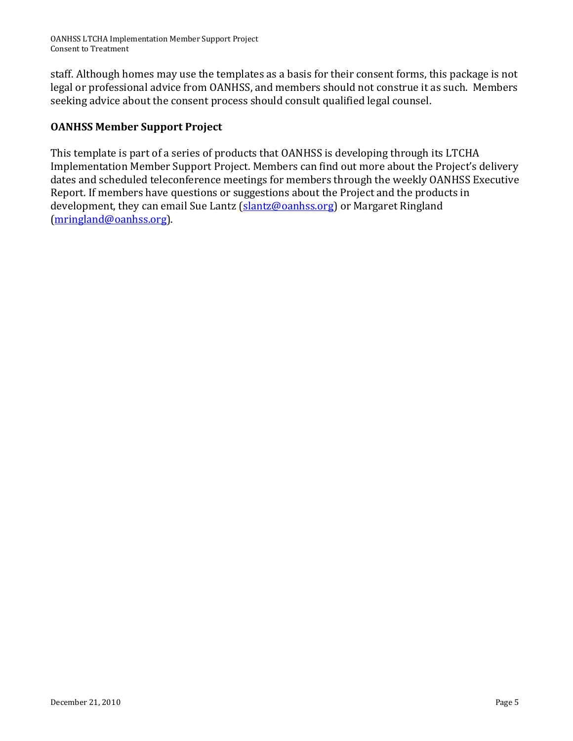staff. Although homes may use the templates as a basis for their consent forms, this package is not legal or professional advice from OANHSS, and members should not construe it as such. Members seeking advice about the consent process should consult qualified legal counsel.

## **OANHSS Member Support Project**

This template is part of a series of products that OANHSS is developing through its LTCHA Implementation Member Support Project. Members can find out more about the Project's delivery dates and scheduled teleconference meetings for members through the weekly OANHSS Executive Report. If members have questions or suggestions about the Project and the products in development, they can email Sue Lantz [\(slantz@oanhss.org\)](mailto:slantz@oanhss.org) or Margaret Ringland [\(mringland@oanhss.org\)](mailto:mringland@oanhss.org).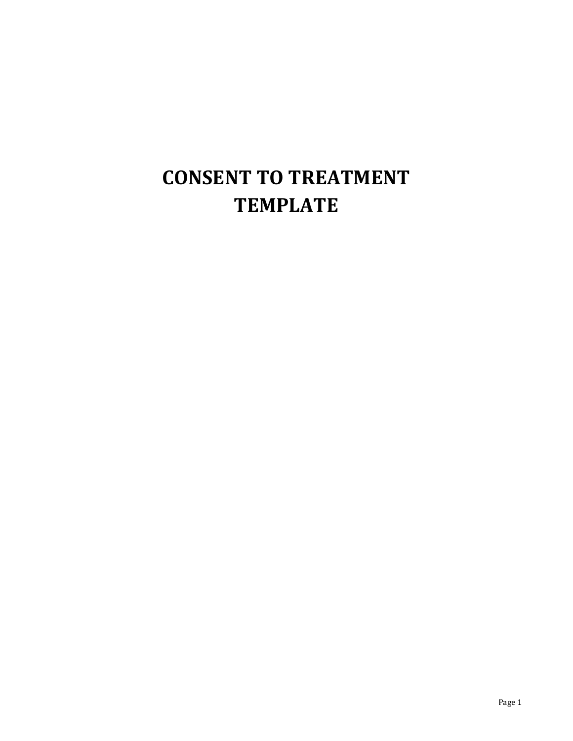## **CONSENT TO TREATMENT TEMPLATE**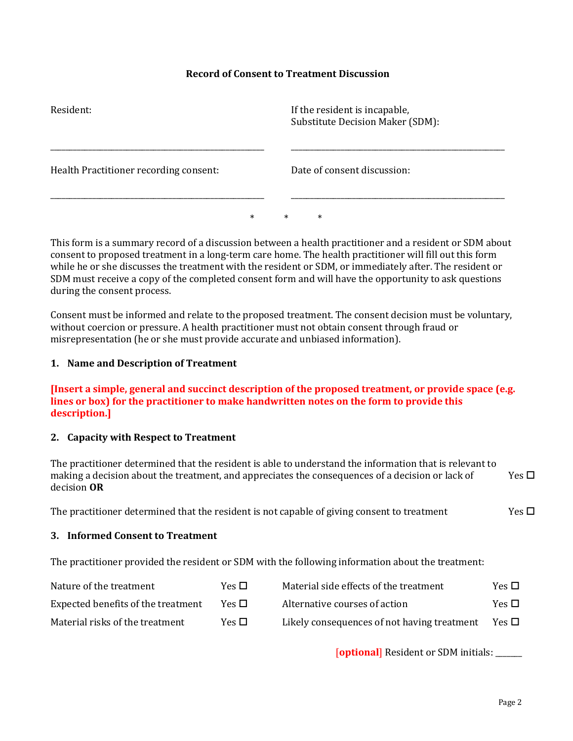#### **Record of Consent to Treatment Discussion**

| Resident:                              |        |  |        | If the resident is incapable,<br><b>Substitute Decision Maker (SDM):</b> |
|----------------------------------------|--------|--|--------|--------------------------------------------------------------------------|
| Health Practitioner recording consent: |        |  |        | Date of consent discussion:                                              |
|                                        | $\ast$ |  | $\ast$ | $\ast$                                                                   |

This form is a summary record of a discussion between a health practitioner and a resident or SDM about consent to proposed treatment in a long-term care home. The health practitioner will fill out this form while he or she discusses the treatment with the resident or SDM, or immediately after. The resident or SDM must receive a copy of the completed consent form and will have the opportunity to ask questions during the consent process.

Consent must be informed and relate to the proposed treatment. The consent decision must be voluntary, without coercion or pressure. A health practitioner must not obtain consent through fraud or misrepresentation (he or she must provide accurate and unbiased information).

#### **1. Name and Description of Treatment**

**[Insert a simple, general and succinct description of the proposed treatment, or provide space (e.g. lines or box) for the practitioner to make handwritten notes on the form to provide this description.]**

#### **2. Capacity with Respect to Treatment**

| The practitioner determined that the resident is able to understand the information that is relevant to |            |
|---------------------------------------------------------------------------------------------------------|------------|
| making a decision about the treatment, and appreciates the consequences of a decision or lack of        | Yes $\Box$ |
| decision <b>OR</b>                                                                                      |            |

The practitioner determined that the resident is not capable of giving consent to treatment Yes  $\Box$ 

#### **3. Informed Consent to Treatment**

The practitioner provided the resident or SDM with the following information about the treatment:

| Nature of the treatment            | Yes $\Box$ | Material side effects of the treatment      | Yes $\Box$ |
|------------------------------------|------------|---------------------------------------------|------------|
| Expected benefits of the treatment | Yes □      | Alternative courses of action               | Yes $\Box$ |
| Material risks of the treatment    | Yes $\Box$ | Likely consequences of not having treatment | Yes $\Box$ |

[**optional**] Resident or SDM initials: \_\_\_\_\_\_\_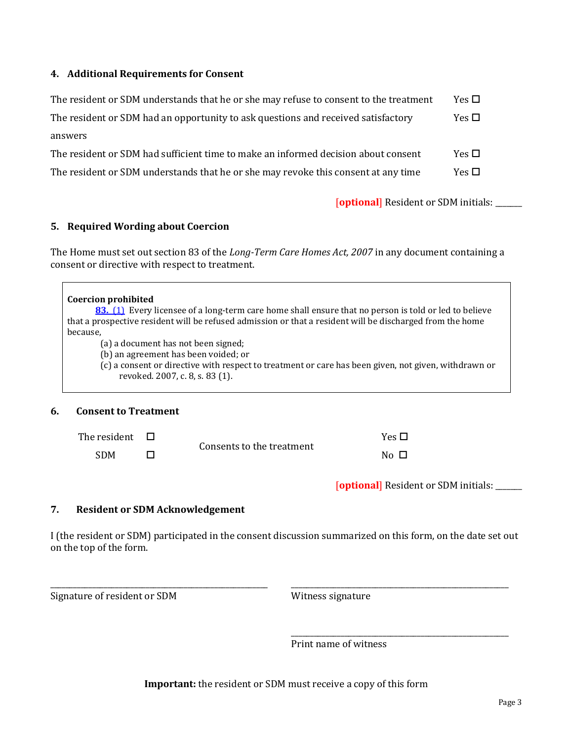#### **4. Additional Requirements for Consent**

| The resident or SDM understands that he or she may refuse to consent to the treatment | Yes $\Box$ |
|---------------------------------------------------------------------------------------|------------|
| The resident or SDM had an opportunity to ask questions and received satisfactory     | Yes $\Box$ |
| answers                                                                               |            |
| The resident or SDM had sufficient time to make an informed decision about consent    | Yes $\Box$ |
| The resident or SDM understands that he or she may revoke this consent at any time    | Yes $\Box$ |

[**optional**] Resident or SDM initials: \_\_\_\_\_\_\_

#### **5. Required Wording about Coercion**

The Home must set out section 83 of the *Long-Term Care Homes Act, 2007* in any document containing a consent or directive with respect to treatment.

**[83.](http://www.e-laws.gov.on.ca/html/statutes/french/elaws_statutes_07l08_f.htm#s83s1)** [\(1\)](http://www.e-laws.gov.on.ca/html/statutes/french/elaws_statutes_07l08_f.htm#s83s1) Every licensee of a long-term care home shall ensure that no person is told or led to believe that a prospective resident will be refused admission or that a resident will be discharged from the home because,

(a) a document has not been signed;

(b) an agreement has been voided; or

(c) a consent or directive with respect to treatment or care has been given, not given, withdrawn or revoked. 2007, c. 8, s. 83 (1).

#### **6. Consent to Treatment**

| The resident $\quad \Box$ | Consents to the treatment | Yes $\Box$ |
|---------------------------|---------------------------|------------|
| <b>SDM</b>                |                           | No □       |

[**optional**] Resident or SDM initials: \_\_\_\_\_\_\_

\_\_\_\_\_\_\_\_\_\_\_\_\_\_\_\_\_\_\_\_\_\_\_\_\_\_\_\_\_\_\_\_\_\_\_\_\_\_\_\_\_\_\_\_\_\_\_\_\_\_\_\_\_\_\_\_\_

\_\_\_\_\_\_\_\_\_\_\_\_\_\_\_\_\_\_\_\_\_\_\_\_\_\_\_\_\_\_\_\_\_\_\_\_\_\_\_\_\_\_\_\_\_\_\_\_\_\_\_\_\_\_\_\_\_

#### **7. Resident or SDM Acknowledgement**

\_\_\_\_\_\_\_\_\_\_\_\_\_\_\_\_\_\_\_\_\_\_\_\_\_\_\_\_\_\_\_\_\_\_\_\_\_\_\_\_\_\_\_\_\_\_\_\_\_\_\_\_\_\_\_\_\_

I (the resident or SDM) participated in the consent discussion summarized on this form, on the date set out on the top of the form.

Signature of resident or SDM

Witness signature

Print name of witness

**Important:** the resident or SDM must receive a copy of this form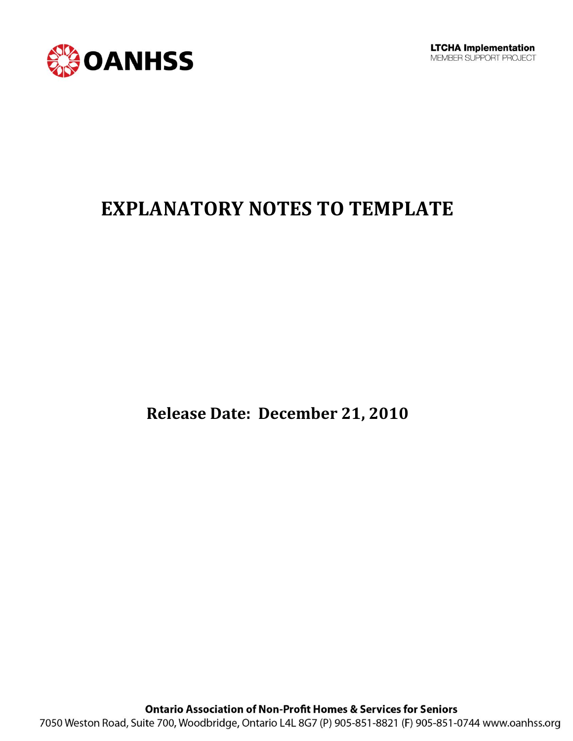

## **EXPLANATORY NOTES TO TEMPLATE**

**Release Date: December 21, 2010**

**Ontario Association of Non-Profit Homes & Services for Seniors** 7050 Weston Road, Suite 700, Woodbridge, Ontario L4L 8G7 (P) 905-851-8821 (F) 905-851-0744 www.oanhss.org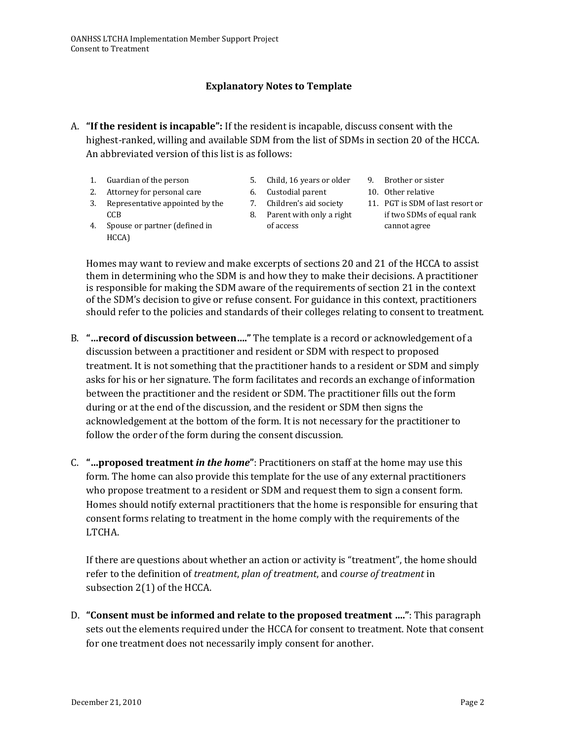#### **Explanatory Notes to Template**

- A. **"If the resident is incapable":** If the resident is incapable, discuss consent with the highest-ranked, willing and available SDM from the list of SDMs in section 20 of the HCCA. An abbreviated version of this list is as follows:
	- 1. Guardian of the person
	- 2. Attorney for personal care
	- 3. Representative appointed by the CCB
- 5. Child, 16 years or older
- 6. Custodial parent
- 7. Children's aid society
- 8. Parent with only a right of access
- 4. Spouse or partner (defined in HCCA)

11. PGT is SDM of last resort or if two SDMs of equal rank cannot agree

9. Brother or sister 10. Other relative

Homes may want to review and make excerpts of sections 20 and 21 of the HCCA to assist them in determining who the SDM is and how they to make their decisions. A practitioner is responsible for making the SDM aware of the requirements of section 21 in the context of the SDM's decision to give or refuse consent. For guidance in this context, practitioners should refer to the policies and standards of their colleges relating to consent to treatment.

- B. **"…record of discussion between…."** The template is a record or acknowledgement of a discussion between a practitioner and resident or SDM with respect to proposed treatment. It is not something that the practitioner hands to a resident or SDM and simply asks for his or her signature. The form facilitates and records an exchange of information between the practitioner and the resident or SDM. The practitioner fills out the form during or at the end of the discussion, and the resident or SDM then signs the acknowledgement at the bottom of the form. It is not necessary for the practitioner to follow the order of the form during the consent discussion.
- C. **"…proposed treatment** *in the home***"**: Practitioners on staff at the home may use this form. The home can also provide this template for the use of any external practitioners who propose treatment to a resident or SDM and request them to sign a consent form. Homes should notify external practitioners that the home is responsible for ensuring that consent forms relating to treatment in the home comply with the requirements of the LTCHA.

If there are questions about whether an action or activity is "treatment", the home should refer to the definition of *treatment*, *plan of treatment*, and *course of treatment* in subsection 2(1) of the HCCA.

D. **"Consent must be informed and relate to the proposed treatment …."**: This paragraph sets out the elements required under the HCCA for consent to treatment. Note that consent for one treatment does not necessarily imply consent for another.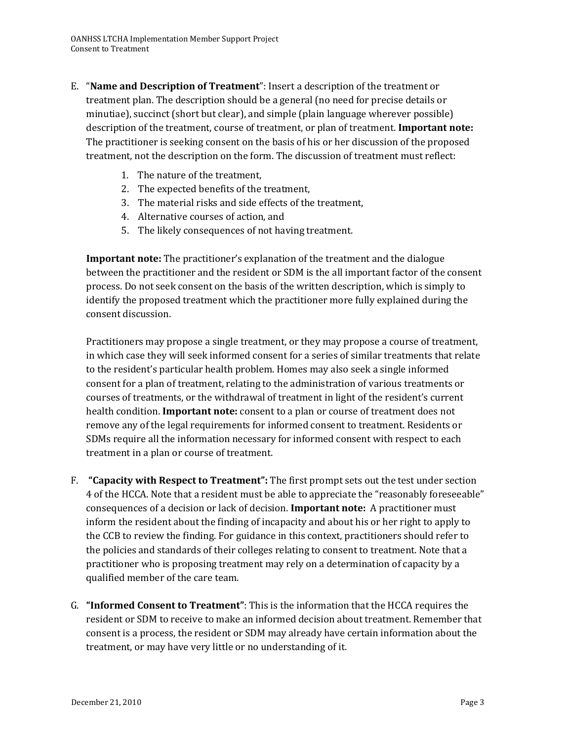- E. "**Name and Description of Treatment**": Insert a description of the treatment or treatment plan. The description should be a general (no need for precise details or minutiae), succinct (short but clear), and simple (plain language wherever possible) description of the treatment, course of treatment, or plan of treatment. **Important note:** The practitioner is seeking consent on the basis of his or her discussion of the proposed treatment, not the description on the form. The discussion of treatment must reflect:
	- 1. The nature of the treatment,
	- 2. The expected benefits of the treatment,
	- 3. The material risks and side effects of the treatment,
	- 4. Alternative courses of action, and
	- 5. The likely consequences of not having treatment.

**Important note:** The practitioner's explanation of the treatment and the dialogue between the practitioner and the resident or SDM is the all important factor of the consent process. Do not seek consent on the basis of the written description, which is simply to identify the proposed treatment which the practitioner more fully explained during the consent discussion.

Practitioners may propose a single treatment, or they may propose a course of treatment, in which case they will seek informed consent for a series of similar treatments that relate to the resident's particular health problem. Homes may also seek a single informed consent for a plan of treatment, relating to the administration of various treatments or courses of treatments, or the withdrawal of treatment in light of the resident's current health condition. **Important note:** consent to a plan or course of treatment does not remove any of the legal requirements for informed consent to treatment. Residents or SDMs require all the information necessary for informed consent with respect to each treatment in a plan or course of treatment.

- F. **"Capacity with Respect to Treatment":** The first prompt sets out the test under section 4 of the HCCA. Note that a resident must be able to appreciate the "reasonably foreseeable" consequences of a decision or lack of decision. **Important note:** A practitioner must inform the resident about the finding of incapacity and about his or her right to apply to the CCB to review the finding. For guidance in this context, practitioners should refer to the policies and standards of their colleges relating to consent to treatment. Note that a practitioner who is proposing treatment may rely on a determination of capacity by a qualified member of the care team.
- G. **"Informed Consent to Treatment"**: This is the information that the HCCA requires the resident or SDM to receive to make an informed decision about treatment. Remember that consent is a process, the resident or SDM may already have certain information about the treatment, or may have very little or no understanding of it.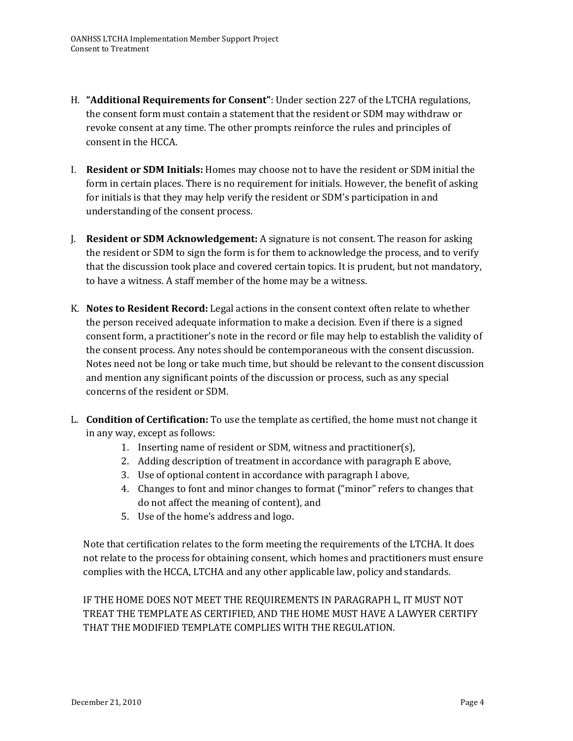- H. **"Additional Requirements for Consent"**: Under section 227 of the LTCHA regulations, the consent form must contain a statement that the resident or SDM may withdraw or revoke consent at any time. The other prompts reinforce the rules and principles of consent in the HCCA.
- I. **Resident or SDM Initials:** Homes may choose not to have the resident or SDM initial the form in certain places. There is no requirement for initials. However, the benefit of asking for initials is that they may help verify the resident or SDM's participation in and understanding of the consent process.
- J. **Resident or SDM Acknowledgement:** A signature is not consent. The reason for asking the resident or SDM to sign the form is for them to acknowledge the process, and to verify that the discussion took place and covered certain topics. It is prudent, but not mandatory, to have a witness. A staff member of the home may be a witness.
- K. **Notes to Resident Record:** Legal actions in the consent context often relate to whether the person received adequate information to make a decision. Even if there is a signed consent form, a practitioner's note in the record or file may help to establish the validity of the consent process. Any notes should be contemporaneous with the consent discussion. Notes need not be long or take much time, but should be relevant to the consent discussion and mention any significant points of the discussion or process, such as any special concerns of the resident or SDM.
- L. **Condition of Certification:** To use the template as certified, the home must not change it in any way, except as follows:
	- 1. Inserting name of resident or SDM, witness and practitioner(s),
	- 2. Adding description of treatment in accordance with paragraph E above,
	- 3. Use of optional content in accordance with paragraph I above,
	- 4. Changes to font and minor changes to format ("minor" refers to changes that do not affect the meaning of content), and
	- 5. Use of the home's address and logo.

Note that certification relates to the form meeting the requirements of the LTCHA. It does not relate to the process for obtaining consent, which homes and practitioners must ensure complies with the HCCA, LTCHA and any other applicable law, policy and standards.

IF THE HOME DOES NOT MEET THE REQUIREMENTS IN PARAGRAPH L, IT MUST NOT TREAT THE TEMPLATE AS CERTIFIED, AND THE HOME MUST HAVE A LAWYER CERTIFY THAT THE MODIFIED TEMPLATE COMPLIES WITH THE REGULATION.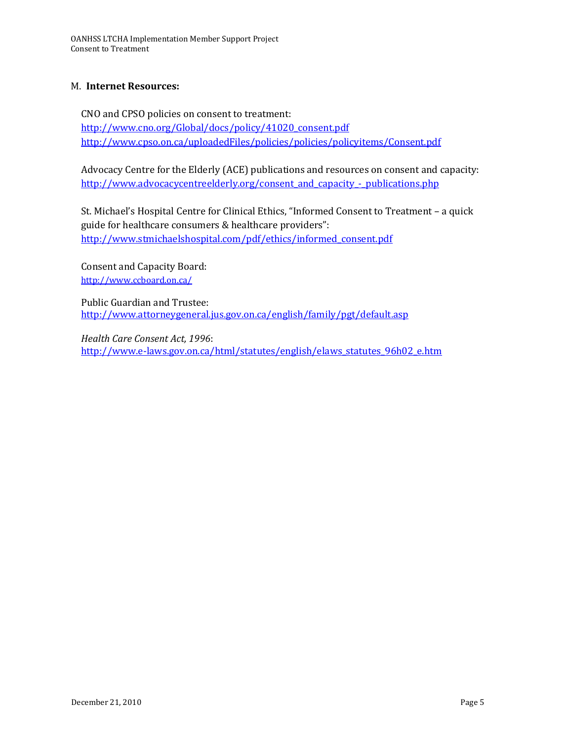#### M. **Internet Resources:**

CNO and CPSO policies on consent to treatment: [http://www.cno.org/Global/docs/policy/41020\\_consent.pdf](http://www.cno.org/Global/docs/policy/41020_consent.pdf) <http://www.cpso.on.ca/uploadedFiles/policies/policies/policyitems/Consent.pdf>

Advocacy Centre for the Elderly (ACE) publications and resources on consent and capacity: [http://www.advocacycentreelderly.org/consent\\_and\\_capacity\\_-\\_publications.php](http://www.advocacycentreelderly.org/consent_and_capacity_-_publications.php)

St. Michael's Hospital Centre for Clinical Ethics, "Informed Consent to Treatment – a quick guide for healthcare consumers & healthcare providers": [http://www.stmichaelshospital.com/pdf/ethics/informed\\_consent.pdf](http://www.stmichaelshospital.com/pdf/ethics/informed_consent.pdf)

Consent and Capacity Board: <http://www.ccboard.on.ca/>

Public Guardian and Trustee: <http://www.attorneygeneral.jus.gov.on.ca/english/family/pgt/default.asp>

*Health Care Consent Act, 1996*: [http://www.e-laws.gov.on.ca/html/statutes/english/elaws\\_statutes\\_96h02\\_e.htm](http://www.e-laws.gov.on.ca/html/statutes/english/elaws_statutes_96h02_e.htm)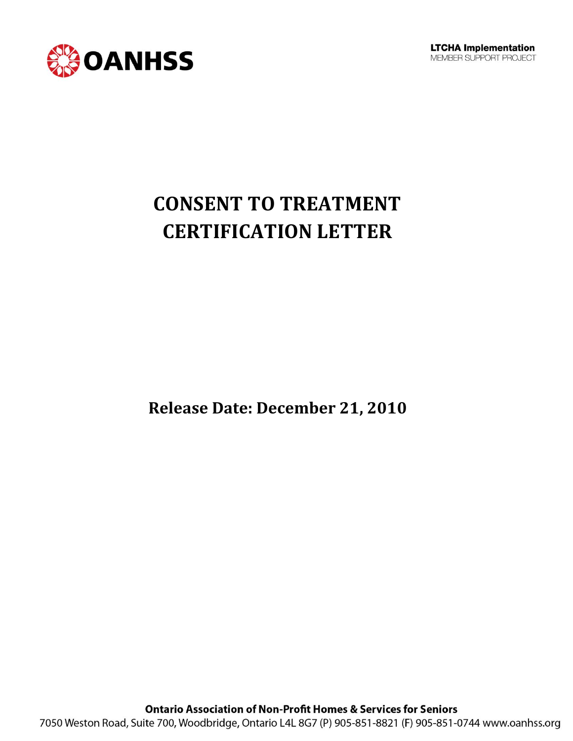

# **CONSENT TO TREATMENT CERTIFICATION LETTER**

**Release Date: December 21, 2010**

**Ontario Association of Non-Profit Homes & Services for Seniors** 7050 Weston Road, Suite 700, Woodbridge, Ontario L4L 8G7 (P) 905-851-8821 (F) 905-851-0744 www.oanhss.org